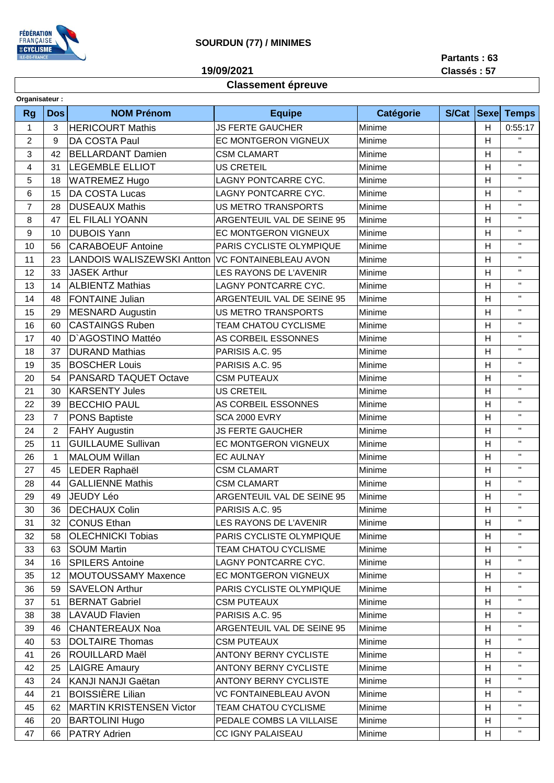

## **SOURDUN (77) / MINIMES**

**19/09/2021**

**Partants : 63 Classés : 57**

## **Classement épreuve**

| Organisateur:             |                |                                   |                                   |           |       |                |              |
|---------------------------|----------------|-----------------------------------|-----------------------------------|-----------|-------|----------------|--------------|
| <b>Rg</b>                 | <b>Dos</b>     | <b>NOM Prénom</b>                 | <b>Equipe</b>                     | Catégorie | S/Cat | <b>Sexe</b>    | <b>Temps</b> |
| 1                         | 3              | <b>HERICOURT Mathis</b>           | <b>JS FERTE GAUCHER</b><br>Minime |           |       | H              | 0:55:17      |
| $\overline{c}$            | 9              | DA COSTA Paul                     | EC MONTGERON VIGNEUX              | Minime    |       | Η              | $\mathbf{H}$ |
| $\ensuremath{\mathsf{3}}$ | 42             | <b>BELLARDANT Damien</b>          | <b>CSM CLAMART</b>                | Minime    |       | H              | $\mathbf{H}$ |
| 4                         | 31             | <b>LEGEMBLE ELLIOT</b>            | <b>US CRETEIL</b>                 | Minime    |       | Η              | $\mathbf{H}$ |
| 5                         | 18             | <b>WATREMEZ Hugo</b>              | <b>LAGNY PONTCARRE CYC.</b>       | Minime    |       | Η              | $\mathbf{H}$ |
| 6                         | 15             | <b>DA COSTA Lucas</b>             | LAGNY PONTCARRE CYC.              | Minime    |       | $\overline{H}$ | $\mathbf{H}$ |
| $\overline{7}$            | 28             | <b>DUSEAUX Mathis</b>             | <b>US METRO TRANSPORTS</b>        | Minime    |       | $\overline{H}$ | $\mathbf{H}$ |
| 8                         | 47             | <b>EL FILALI YOANN</b>            | ARGENTEUIL VAL DE SEINE 95        | Minime    |       | $\overline{H}$ | $\mathbf{H}$ |
| $\boldsymbol{9}$          | 10             | <b>DUBOIS Yann</b>                | EC MONTGERON VIGNEUX              | Minime    |       | Η              | $\mathbf{H}$ |
| 10                        | 56             | <b>CARABOEUF Antoine</b>          | PARIS CYCLISTE OLYMPIQUE          | Minime    |       | H              | $\mathbf{H}$ |
| 11                        | 23             | <b>LANDOIS WALISZEWSKI Antton</b> | <b>VC FONTAINEBLEAU AVON</b>      | Minime    |       | H              | $\mathbf{H}$ |
| 12                        | 33             | <b>JASEK Arthur</b>               | LES RAYONS DE L'AVENIR            | Minime    |       | Η              | $\mathbf{H}$ |
| 13                        | 14             | <b>ALBIENTZ Mathias</b>           | LAGNY PONTCARRE CYC.              | Minime    |       | Η              | $\mathbf{H}$ |
| 14                        | 48             | <b>FONTAINE Julian</b>            | ARGENTEUIL VAL DE SEINE 95        | Minime    |       | $\overline{H}$ | $\mathbf{H}$ |
| 15                        | 29             | MESNARD Augustin                  | <b>US METRO TRANSPORTS</b>        | Minime    |       | H              | $\mathbf{H}$ |
| 16                        | 60             | <b>CASTAINGS Ruben</b>            | <b>TEAM CHATOU CYCLISME</b>       | Minime    |       | Η              | $\mathbf{H}$ |
| 17                        | 40             | D'AGOSTINO Mattéo                 | AS CORBEIL ESSONNES               | Minime    |       | $\overline{H}$ | $\mathbf{H}$ |
| 18                        | 37             | <b>DURAND Mathias</b>             | PARISIS A.C. 95                   | Minime    |       | $\overline{H}$ | $\mathbf{H}$ |
| 19                        | 35             | <b>BOSCHER Louis</b>              | PARISIS A.C. 95                   | Minime    |       | Η              | $\mathbf{H}$ |
| 20                        | 54             | <b>PANSARD TAQUET Octave</b>      | <b>CSM PUTEAUX</b>                | Minime    |       | Η              | $\mathbf{H}$ |
| 21                        | 30             | <b>KARSENTY Jules</b>             | <b>US CRETEIL</b>                 | Minime    |       | $\overline{H}$ | $\mathbf{H}$ |
| 22                        | 39             | <b>BECCHIO PAUL</b>               | AS CORBEIL ESSONNES               | Minime    |       | H              | $\mathbf{H}$ |
| 23                        | $\overline{7}$ | <b>PONS Baptiste</b>              | <b>SCA 2000 EVRY</b>              | Minime    |       | Η              | $\mathbf{H}$ |
| 24                        | $\overline{c}$ | <b>FAHY Augustin</b>              | <b>JS FERTE GAUCHER</b>           | Minime    |       | Η              | $\mathbf{H}$ |
| 25                        | 11             | <b>GUILLAUME Sullivan</b>         | EC MONTGERON VIGNEUX              | Minime    |       | H              | $\mathbf{H}$ |
| 26                        | $\mathbf{1}$   | <b>MALOUM Willan</b>              | <b>EC AULNAY</b>                  | Minime    |       | H              | $\mathbf{H}$ |
| 27                        | 45             | LEDER Raphaël                     | <b>CSM CLAMART</b>                | Minime    |       | Η              | $\mathbf{H}$ |
| 28                        | 44             | <b>GALLIENNE Mathis</b>           | <b>CSM CLAMART</b>                | Minime    |       | H              | $\mathbf{H}$ |
| 29                        | 49             | JEUDY Léo                         | ARGENTEUIL VAL DE SEINE 95        | Minime    |       | Η              | $\mathbf{H}$ |
| 30                        | 36             | <b>DECHAUX Colin</b>              | PARISIS A.C. 95                   | Minime    |       | н              | $\mathbf H$  |
| 31                        | 32             | CONUS Ethan                       | LES RAYONS DE L'AVENIR            | Minime    |       | H              | $\mathbf{H}$ |
| 32                        | 58             | <b>OLECHNICKI Tobias</b>          | PARIS CYCLISTE OLYMPIQUE          | Minime    |       | H              | $\mathbf H$  |
| 33                        | 63             | <b>SOUM Martin</b>                | <b>TEAM CHATOU CYCLISME</b>       | Minime    |       | H              | $\mathbf{H}$ |
| 34                        | 16             | <b>SPILERS Antoine</b>            | LAGNY PONTCARRE CYC.              | Minime    |       | H              | $\mathbf{H}$ |
| 35                        | 12             | MOUTOUSSAMY Maxence               | EC MONTGERON VIGNEUX              | Minime    |       | H              | $\mathbf{H}$ |
| 36                        | 59             | <b>SAVELON Arthur</b>             | PARIS CYCLISTE OLYMPIQUE          | Minime    |       | H              | $\mathbf H$  |
| 37                        | 51             | <b>BERNAT Gabriel</b>             | <b>CSM PUTEAUX</b>                | Minime    |       | н              | $\mathbf H$  |
| 38                        | 38             | <b>LAVAUD Flavien</b>             | PARISIS A.C. 95                   | Minime    |       | H              | п.           |
| 39                        | 46             | <b>CHANTEREAUX Noa</b>            | ARGENTEUIL VAL DE SEINE 95        | Minime    |       | н              | н.           |
| 40                        | 53             | <b>DOLTAIRE Thomas</b>            | <b>CSM PUTEAUX</b>                | Minime    |       | H              | $\mathbf{H}$ |
| 41                        | 26             | ROUILLARD Maël                    | <b>ANTONY BERNY CYCLISTE</b>      | Minime    |       | H              | $\mathbf{H}$ |
| 42                        | 25             | <b>LAIGRE Amaury</b>              | <b>ANTONY BERNY CYCLISTE</b>      | Minime    |       | H              | $\mathbf{H}$ |
| 43                        | 24             | KANJI NANJI Gaëtan                | <b>ANTONY BERNY CYCLISTE</b>      | Minime    |       | H              | $\mathbf H$  |
| 44                        | 21             | <b>BOISSIÈRE Lilian</b>           | <b>VC FONTAINEBLEAU AVON</b>      | Minime    |       | H              | $\mathbf{H}$ |
| 45                        | 62             | <b>MARTIN KRISTENSEN Victor</b>   | TEAM CHATOU CYCLISME              | Minime    |       | H              | $\mathbf{H}$ |
| 46                        | 20             | <b>BARTOLINI Hugo</b>             | PEDALE COMBS LA VILLAISE          | Minime    |       | н              | $\mathbf H$  |
| 47                        | 66             | <b>PATRY Adrien</b>               | CC IGNY PALAISEAU                 | Minime    |       | H              | $\mathbf H$  |
|                           |                |                                   |                                   |           |       |                |              |